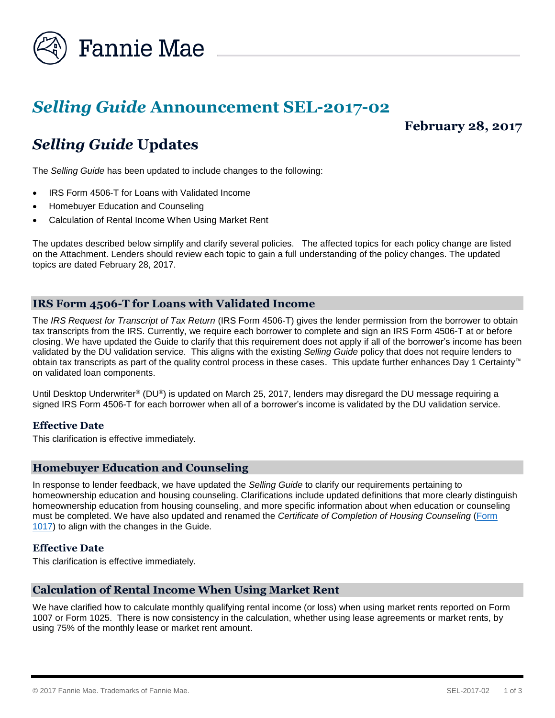

# *Selling Guide* **Announcement SEL-2017-02**

### **February 28, 2017**

## *Selling Guide* **Updates**

The *Selling Guide* has been updated to include changes to the following:

- IRS Form 4506-T for Loans with Validated Income
- Homebuyer Education and Counseling
- Calculation of Rental Income When Using Market Rent

The updates described below simplify and clarify several policies. The affected topics for each policy change are listed on the Attachment. Lenders should review each topic to gain a full understanding of the policy changes. The updated topics are dated February 28, 2017.

#### **IRS Form 4506-T for Loans with Validated Income**

The *IRS Request for Transcript of Tax Return* (IRS Form 4506-T) gives the lender permission from the borrower to obtain tax transcripts from the IRS. Currently, we require each borrower to complete and sign an IRS Form 4506-T at or before closing. We have updated the Guide to clarify that this requirement does not apply if all of the borrower's income has been validated by the DU validation service. This aligns with the existing *Selling Guide* policy that does not require lenders to obtain tax transcripts as part of the quality control process in these cases. This update further enhances Day 1 Certainty™ on validated loan components.

Until Desktop Underwriter® (DU®) is updated on March 25, 2017, lenders may disregard the DU message requiring a signed IRS Form 4506-T for each borrower when all of a borrower's income is validated by the DU validation service.

#### **Effective Date**

This clarification is effective immediately.

#### **Homebuyer Education and Counseling**

In response to lender feedback, we have updated the *Selling Guide* to clarify our requirements pertaining to homeownership education and housing counseling. Clarifications include updated definitions that more clearly distinguish homeownership education from housing counseling, and more specific information about when education or counseling must be completed. We have also updated and renamed the *Certificate of Completion of Housing Counseling* [\(Form](https://www.fanniemae.com/content/guide_form/1017.pdf)  [1017\)](https://www.fanniemae.com/content/guide_form/1017.pdf) to align with the changes in the Guide.

#### **Effective Date**

This clarification is effective immediately.

#### **Calculation of Rental Income When Using Market Rent**

We have clarified how to calculate monthly qualifying rental income (or loss) when using market rents reported on Form 1007 or Form 1025. There is now consistency in the calculation, whether using lease agreements or market rents, by using 75% of the monthly lease or market rent amount.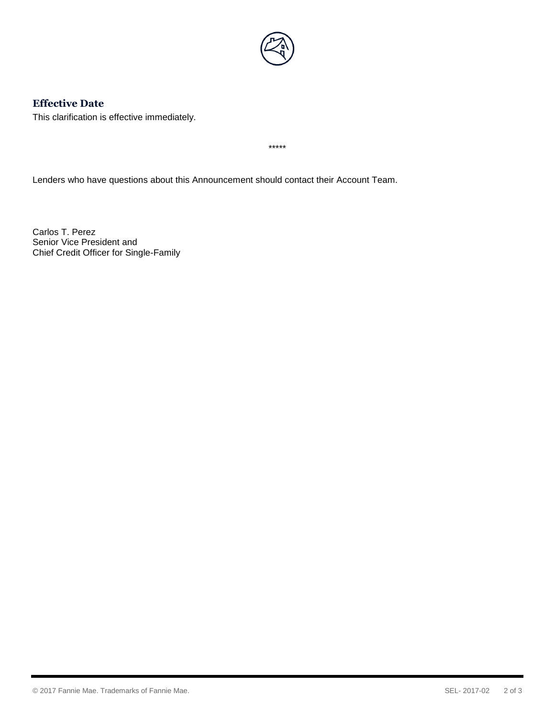

#### **Effective Date**

This clarification is effective immediately.

\*\*\*\*\*

Lenders who have questions about this Announcement should contact their Account Team.

Carlos T. Perez Senior Vice President and Chief Credit Officer for Single-Family